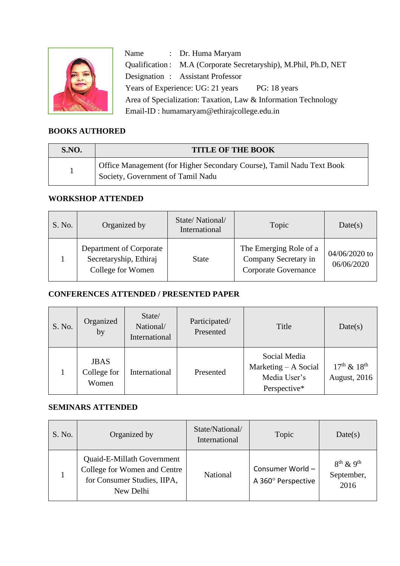

Name : Dr. Huma Maryam Qualification : M.A (Corporate Secretaryship), M.Phil, Ph.D, NET Designation : Assistant Professor Years of Experience: UG: 21 years PG: 18 years Area of Specialization: Taxation, Law & Information Technology Email-ID : humamaryam@ethirajcollege.edu.in

#### **BOOKS AUTHORED**  e<br>Photoship

| <b>S.NO.</b> | <b>TITLE OF THE BOOK</b>                                                                                   |
|--------------|------------------------------------------------------------------------------------------------------------|
|              | Office Management (for Higher Secondary Course), Tamil Nadu Text Book<br>Society, Government of Tamil Nadu |

### **WORKSHOP ATTENDED**

| S. No. | Organized by                                                           | State/National/<br>International | Topic                                                                  | Date(s)                       |
|--------|------------------------------------------------------------------------|----------------------------------|------------------------------------------------------------------------|-------------------------------|
|        | Department of Corporate<br>Secretaryship, Ethiraj<br>College for Women | <b>State</b>                     | The Emerging Role of a<br>Company Secretary in<br>Corporate Governance | $04/06/2020$ to<br>06/06/2020 |

### **CONFERENCES ATTENDED / PRESENTED PAPER**

| S. No. | Organized<br>by                                      | State/<br>National/<br>International | Participated/<br>Presented | Title                                                                  | Date(s)                                       |
|--------|------------------------------------------------------|--------------------------------------|----------------------------|------------------------------------------------------------------------|-----------------------------------------------|
|        | <b>JBAS</b><br>College for<br>International<br>Women |                                      | Presented                  | Social Media<br>Marketing $- A$ Social<br>Media User's<br>Perspective* | $17^{th}$ & $18^{th}$<br><b>August</b> , 2016 |

### **SEMINARS ATTENDED**

| S. No. | Organized by                                                                                           | State/National/<br>International | Topic                                  | Date(s)                                          |
|--------|--------------------------------------------------------------------------------------------------------|----------------------------------|----------------------------------------|--------------------------------------------------|
|        | Quaid-E-Millath Government<br>College for Women and Centre<br>for Consumer Studies, IIPA,<br>New Delhi | National                         | Consumer World -<br>A 360° Perspective | $8^{th}$ & 9 <sup>th</sup><br>September,<br>2016 |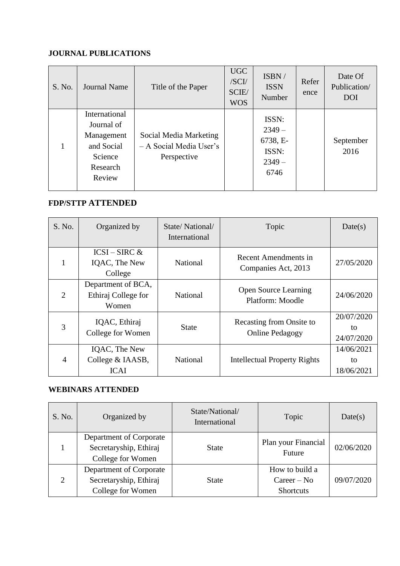# **JOURNAL PUBLICATIONS**

| S. No. | <b>Journal Name</b>                                                                      | Title of the Paper                                               | <b>UGC</b><br>/SCI/<br>SCIE/<br><b>WOS</b> | ISBN/<br><b>ISSN</b><br>Number                            | Refer<br>ence | Date Of<br>Publication/<br><b>DOI</b> |
|--------|------------------------------------------------------------------------------------------|------------------------------------------------------------------|--------------------------------------------|-----------------------------------------------------------|---------------|---------------------------------------|
|        | International<br>Journal of<br>Management<br>and Social<br>Science<br>Research<br>Review | Social Media Marketing<br>- A Social Media User's<br>Perspective |                                            | ISSN:<br>$2349-$<br>6738, E-<br>ISSN:<br>$2349 -$<br>6746 |               | September<br>2016                     |

### **FDP/STTP ATTENDED**

| S. No. | Organized by                                       | State/National/<br>International | Topic                                              | Date(s)                        |
|--------|----------------------------------------------------|----------------------------------|----------------------------------------------------|--------------------------------|
|        | $ICSI - SIRC \&$<br>IQAC, The New<br>College       | <b>National</b>                  | Recent Amendments in<br>Companies Act, 2013        | 27/05/2020                     |
| 2      | Department of BCA,<br>Ethiraj College for<br>Women | <b>National</b>                  | <b>Open Source Learning</b><br>Platform: Moodle    | 24/06/2020                     |
| 3      | IQAC, Ethiraj<br>College for Women                 | State                            | Recasting from Onsite to<br><b>Online Pedagogy</b> | 20/07/2020<br>to<br>24/07/2020 |
| 4      | IQAC, The New<br>College & IAASB,<br><b>ICAI</b>   | <b>National</b>                  | <b>Intellectual Property Rights</b>                | 14/06/2021<br>to<br>18/06/2021 |

## **WEBINARS ATTENDED**

| S. No.        | Organized by                                                           | State/National/<br>International | Topic                                               | Date(s)    |
|---------------|------------------------------------------------------------------------|----------------------------------|-----------------------------------------------------|------------|
|               | Department of Corporate<br>Secretaryship, Ethiraj<br>College for Women | <b>State</b>                     | Plan your Financial<br>Future                       | 02/06/2020 |
| $\mathcal{D}$ | Department of Corporate<br>Secretaryship, Ethiraj<br>College for Women | <b>State</b>                     | How to build a<br>$Career - No$<br><b>Shortcuts</b> | 09/07/2020 |